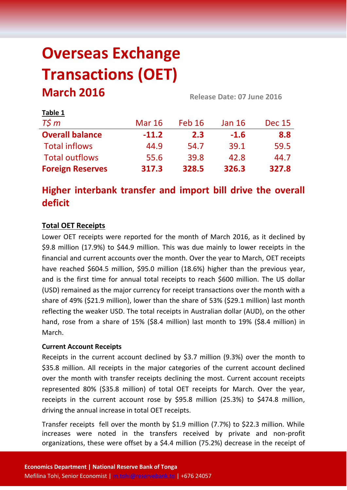# **Overseas Exchange Transactions (OET) March 2016 Release Date: 07 June <sup>2016</sup>**

| <b>LANIC T</b>          |               |               |               |               |  |
|-------------------------|---------------|---------------|---------------|---------------|--|
| $T\zeta m$              | <b>Mar 16</b> | <b>Feb 16</b> | <b>Jan 16</b> | <b>Dec 15</b> |  |
| <b>Overall balance</b>  | $-11.2$       | 2.3           | $-1.6$        | 8.8           |  |
| <b>Total inflows</b>    | 44.9          | 54.7          | 39.1          | 59.5          |  |
| <b>Total outflows</b>   | 55.6          | 39.8          | 42.8          | 44.7          |  |
| <b>Foreign Reserves</b> | 317.3         | 328.5         | 326.3         | 327.8         |  |

## **Higher interbank transfer and import bill drive the overall deficit**

### **Total OET Receipts**

**Table 1**

Lower OET receipts were reported for the month of March 2016, as it declined by \$9.8 million (17.9%) to \$44.9 million. This was due mainly to lower receipts in the financial and current accounts over the month. Over the year to March, OET receipts have reached \$604.5 million, \$95.0 million (18.6%) higher than the previous year, and is the first time for annual total receipts to reach \$600 million. The US dollar (USD) remained as the major currency for receipt transactions over the month with a share of 49% (\$21.9 million), lower than the share of 53% (\$29.1 million) last month reflecting the weaker USD. The total receipts in Australian dollar (AUD), on the other hand, rose from a share of 15% (\$8.4 million) last month to 19% (\$8.4 million) in March.

#### **Current Account Receipts**

Receipts in the current account declined by \$3.7 million (9.3%) over the month to \$35.8 million. All receipts in the major categories of the current account declined over the month with transfer receipts declining the most. Current account receipts represented 80% (\$35.8 million) of total OET receipts for March. Over the year, receipts in the current account rose by \$95.8 million (25.3%) to \$474.8 million, driving the annual increase in total OET receipts.

Transfer receipts fell over the month by \$1.9 million (7.7%) to \$22.3 million. While increases were noted in the transfers received by private and non-profit organizations, these were offset by a \$4.4 million (75.2%) decrease in the receipt of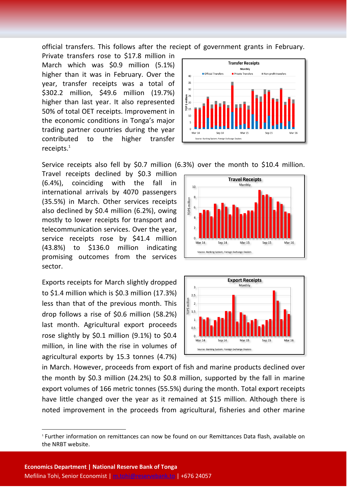official transfers. This follows after the reciept of government grants in February.

Private transfers rose to \$17.8 million in March which was \$0.9 million (5.1%) higher than it was in February. Over the year, transfer receipts was a total of \$302.2 million, \$49.6 million (19.7%) higher than last year. It also represented 50% of total OET receipts. Improvement in the economic conditions in Tonga's major trading partner countries during the year contributed to the higher transfer receipts. 1



Service receipts also fell by \$0.7 million (6.3%) over the month to \$10.4 million.

Travel receipts declined by \$0.3 million (6.4%), coinciding with the fall in international arrivals by 4070 passengers (35.5%) in March. Other services receipts also declined by \$0.4 million (6.2%), owing mostly to lower receipts for transport and telecommunication services. Over the year, service receipts rose by \$41.4 million (43.8%) to \$136.0 million indicating promising outcomes from the services sector.

Exports receipts for March slightly dropped to \$1.4 million which is \$0.3 million (17.3%) less than that of the previous month. This drop follows a rise of \$0.6 million (58.2%) last month. Agricultural export proceeds rose slightly by \$0.1 million (9.1%) to \$0.4 million, in line with the rise in volumes of agricultural exports by 15.3 tonnes (4.7%)





in March. However, proceeds from export of fish and marine products declined over the month by \$0.3 million (24.2%) to \$0.8 million, supported by the fall in marine export volumes of 166 metric tonnes (55.5%) during the month. Total export receipts have little changed over the year as it remained at \$15 million. Although there is noted improvement in the proceeds from agricultural, fisheries and other marine

**.** 

<sup>1</sup> Further information on remittances can now be found on our Remittances Data flash, available on the NRBT website.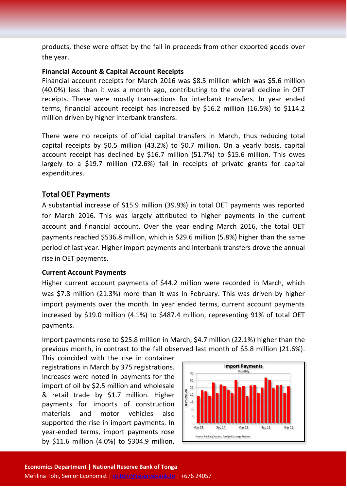products, these were offset by the fall in proceeds from other exported goods over the year.

#### **Financial Account & Capital Account Receipts**

Financial account receipts for March 2016 was \$8.5 million which was \$5.6 million (40.0%) less than it was a month ago, contributing to the overall decline in OET receipts. These were mostly transactions for interbank transfers. In year ended terms, financial account receipt has increased by \$16.2 million (16.5%) to \$114.2 million driven by higher interbank transfers.

There were no receipts of official capital transfers in March, thus reducing total capital receipts by \$0.5 million (43.2%) to \$0.7 million. On a yearly basis, capital account receipt has declined by \$16.7 million (51.7%) to \$15.6 million. This owes largely to a \$19.7 million (72.6%) fall in receipts of private grants for capital expenditures.

#### **Total OET Payments**

A substantial increase of \$15.9 million (39.9%) in total OET payments was reported for March 2016. This was largely attributed to higher payments in the current account and financial account. Over the year ending March 2016, the total OET payments reached \$536.8 million, which is \$29.6 million (5.8%) higher than the same period of last year. Higher import payments and interbank transfers drove the annual rise in OET payments.

#### **Current Account Payments**

Higher current account payments of \$44.2 million were recorded in March, which was \$7.8 million (21.3%) more than it was in February. This was driven by higher import payments over the month. In year ended terms, current account payments increased by \$19.0 million (4.1%) to \$487.4 million, representing 91% of total OET payments.

Import payments rose to \$25.8 million in March, \$4.7 million (22.1%) higher than the previous month, in contrast to the fall observed last month of \$5.8 million (21.6%).

This coincided with the rise in container registrations in March by 375 registrations. Increases were noted in payments for the import of oil by \$2.5 million and wholesale & retail trade by \$1.7 million. Higher payments for imports of construction materials and motor vehicles also supported the rise in import payments. In year-ended terms, import payments rose by \$11.6 million (4.0%) to \$304.9 million,

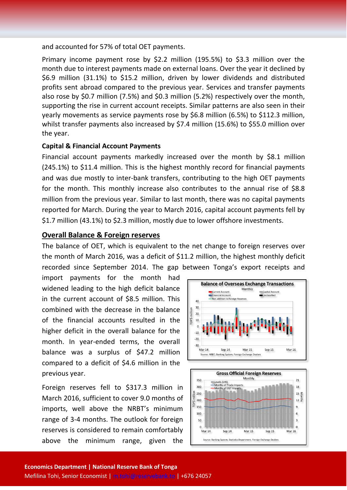and accounted for 57% of total OET payments.

Primary income payment rose by \$2.2 million (195.5%) to \$3.3 million over the month due to interest payments made on external loans. Over the year it declined by \$6.9 million (31.1%) to \$15.2 million, driven by lower dividends and distributed profits sent abroad compared to the previous year. Services and transfer payments also rose by \$0.7 million (7.5%) and \$0.3 million (5.2%) respectively over the month, supporting the rise in current account receipts. Similar patterns are also seen in their yearly movements as service payments rose by \$6.8 million (6.5%) to \$112.3 million, whilst transfer payments also increased by \$7.4 million (15.6%) to \$55.0 million over the year.

#### **Capital & Financial Account Payments**

Financial account payments markedly increased over the month by \$8.1 million (245.1%) to \$11.4 million. This is the highest monthly record for financial payments and was due mostly to inter-bank transfers, contributing to the high OET payments for the month. This monthly increase also contributes to the annual rise of \$8.8 million from the previous year. Similar to last month, there was no capital payments reported for March. During the year to March 2016, capital account payments fell by \$1.7 million (43.1%) to \$2.3 million, mostly due to lower offshore investments.

#### **Overall Balance & Foreign reserves**

The balance of OET, which is equivalent to the net change to foreign reserves over the month of March 2016, was a deficit of \$11.2 million, the highest monthly deficit recorded since September 2014. The gap between Tonga's export receipts and

import payments for the month had widened leading to the high deficit balance in the current account of \$8.5 million. This combined with the decrease in the balance of the financial accounts resulted in the higher deficit in the overall balance for the month. In year-ended terms, the overall balance was a surplus of \$47.2 million compared to a deficit of \$4.6 million in the previous year.

Foreign reserves fell to \$317.3 million in March 2016, sufficient to cover 9.0 months of imports, well above the NRBT's minimum range of 3-4 months. The outlook for foreign reserves is considered to remain comfortably above the minimum range, given the



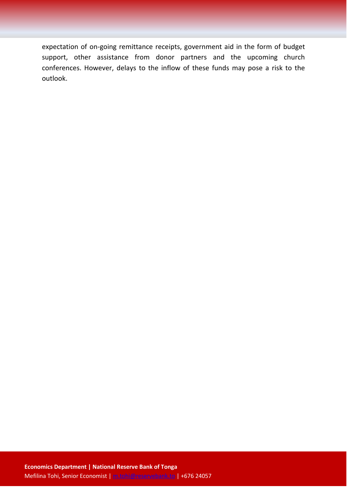expectation of on-going remittance receipts, government aid in the form of budget support, other assistance from donor partners and the upcoming church conferences. However, delays to the inflow of these funds may pose a risk to the outlook.